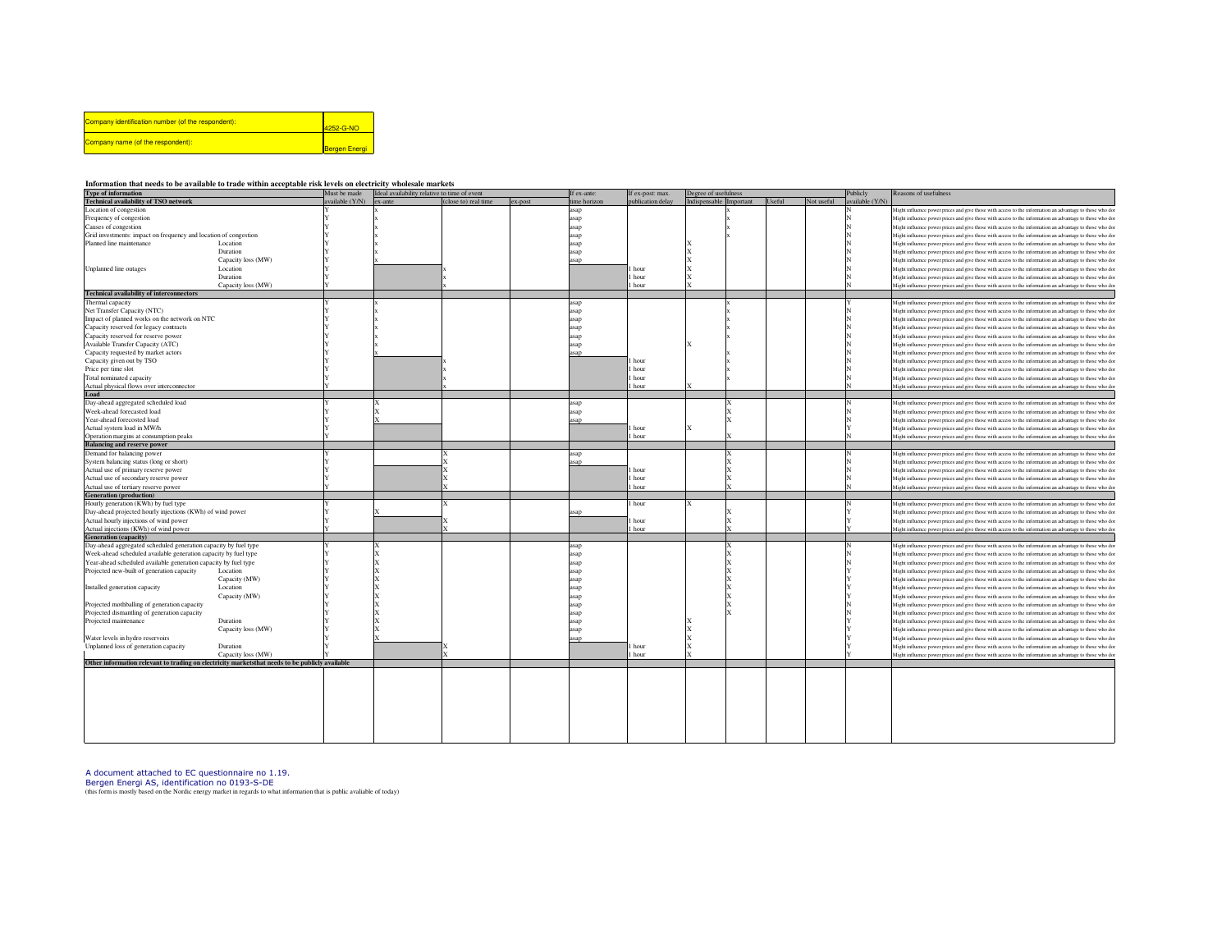| Company identification number (of the respondent): | 4252-G-NO            |
|----------------------------------------------------|----------------------|
| Company name (of the respondent):                  | <b>Bergen Energi</b> |

## **Information that needs to be available to trade within acceptable risk levels on electricity wholesale markets**

| <b>Type of information</b>                                                                       |                    | Must be made   | Ideal availability relative to time of event |                      |         | If ex-ante:  | If ex-post: max.  | Degree of usefulness    |  |        |            | Publicly        | Reasons of usefulness                                                                                    |
|--------------------------------------------------------------------------------------------------|--------------------|----------------|----------------------------------------------|----------------------|---------|--------------|-------------------|-------------------------|--|--------|------------|-----------------|----------------------------------------------------------------------------------------------------------|
| <b>Technical availability of TSO network</b>                                                     |                    | vailable (Y/N) | $ex$ -ante                                   | (close to) real time | ex-post | time horizon | publication delay | Indispensable Important |  | Useful | Not useful | available (Y/N) |                                                                                                          |
| Location of congestion                                                                           |                    |                |                                              |                      |         | asap         |                   |                         |  |        |            |                 | Might influence power prices and give those with access to the information an advantage to those who dor |
| Frequency of congestion                                                                          |                    |                |                                              |                      |         | asap         |                   |                         |  |        |            |                 | Might influence power prices and give those with access to the information an advantage to those who dor |
| Causes of congestion                                                                             |                    |                |                                              |                      |         |              |                   |                         |  |        |            |                 | Might influence power prices and give those with access to the information an advantage to those who dor |
| Grid investments: impact on frequency and location of congestion                                 |                    |                |                                              |                      |         | asap<br>asap |                   |                         |  |        |            |                 | Might influence power prices and give those with access to the information an advantage to those who dor |
|                                                                                                  |                    |                |                                              |                      |         |              |                   |                         |  |        |            |                 |                                                                                                          |
| Planned line maintenance                                                                         | Location           |                |                                              |                      |         | asap         |                   |                         |  |        |            |                 | Might influence power prices and give those with access to the information an advantage to those who dor |
|                                                                                                  | Duration           |                |                                              |                      |         | asap         |                   |                         |  |        |            |                 | Might influence power prices and give those with access to the information an advantage to those who dor |
|                                                                                                  | Capacity loss (MW) |                |                                              |                      |         | asan         |                   |                         |  |        |            |                 | Might influence power prices and give those with access to the information an advantage to those who dor |
| Unplanned line outages                                                                           | Location           |                |                                              |                      |         |              | hour              |                         |  |        |            |                 | Might influence power prices and give those with access to the information an advantage to those who dor |
|                                                                                                  | Duration           |                |                                              |                      |         |              | hour              |                         |  |        |            |                 | Might influence power prices and give those with access to the information an advantage to those who dor |
|                                                                                                  | Capacity loss (MW) |                |                                              |                      |         |              | 1 hour            |                         |  |        |            |                 | Might influence power prices and give those with access to the information an advantage to those who dor |
| <b>Technical availability of interconnectors</b>                                                 |                    |                |                                              |                      |         |              |                   |                         |  |        |            |                 |                                                                                                          |
|                                                                                                  |                    |                |                                              |                      |         |              |                   |                         |  |        |            |                 |                                                                                                          |
| Thermal capacity                                                                                 |                    |                |                                              |                      |         | asan         |                   |                         |  |        |            |                 | Might influence power prices and give those with access to the information an advantage to those who dor |
| Net Transfer Capacity (NTC)                                                                      |                    |                |                                              |                      |         | asap         |                   |                         |  |        |            |                 | Might influence power prices and give those with access to the information an advantage to those who dor |
| Impact of planned works on the network on NTC                                                    |                    |                |                                              |                      |         | asap         |                   |                         |  |        |            |                 | Might influence power prices and give those with access to the information an advantage to those who dor |
| Capacity reserved for legacy contracts                                                           |                    |                |                                              |                      |         | asap         |                   |                         |  |        |            |                 | Might influence power prices and give those with access to the information an advantage to those who dor |
| Capacity reserved for reserve power                                                              |                    |                |                                              |                      |         | asap         |                   |                         |  |        |            |                 | Might influence power prices and give those with access to the information an advantage to those who dor |
| Available Transfer Capacity (ATC)                                                                |                    |                |                                              |                      |         | asap         |                   |                         |  |        |            |                 | Might influence power prices and give those with access to the information an advantage to those who dor |
| Capacity requested by market actors                                                              |                    |                |                                              |                      |         | asan         |                   |                         |  |        |            |                 | Might influence power prices and give those with access to the information an advantage to those who dor |
| Capacity given out by TSO                                                                        |                    |                |                                              |                      |         |              |                   |                         |  |        |            |                 |                                                                                                          |
|                                                                                                  |                    |                |                                              |                      |         |              | hour              |                         |  |        |            |                 | Might influence power prices and give those with access to the information an advantage to those who dor |
| Price per time slot                                                                              |                    |                |                                              |                      |         |              | l hour            |                         |  |        |            |                 | Might influence power prices and give those with access to the information an advantage to those who dor |
| Total nominated capacity                                                                         |                    |                |                                              |                      |         |              | l hour            |                         |  |        |            |                 | Might influence power prices and give those with access to the information an advantage to those who dor |
| Actual physical flows over interconnector                                                        |                    |                |                                              |                      |         |              | hour              |                         |  |        |            |                 | Might influence power prices and give those with access to the information an advantage to those who do  |
| Load                                                                                             |                    |                |                                              |                      |         |              |                   |                         |  |        |            |                 |                                                                                                          |
| Day-ahead aggregated scheduled load                                                              |                    |                |                                              |                      |         | asap         |                   |                         |  |        |            |                 | Might influence power prices and give those with access to the information an advantage to those who dor |
| Week-ahead forecasted load                                                                       |                    |                |                                              |                      |         | asap         |                   |                         |  |        |            |                 | Might influence power prices and give those with access to the information an advantage to those who do  |
| Year-ahead forecosted load                                                                       |                    |                |                                              |                      |         |              |                   |                         |  |        |            |                 |                                                                                                          |
|                                                                                                  |                    |                |                                              |                      |         | asap         |                   |                         |  |        |            |                 | Might influence power prices and give those with access to the information an advantage to those who dor |
| Actual system load in MW/h                                                                       |                    |                |                                              |                      |         |              | hour              |                         |  |        |            |                 | Might influence power prices and give those with access to the information an advantage to those who dor |
| Operation margins at consumption peaks                                                           |                    |                |                                              |                      |         |              | l hour            |                         |  |        |            |                 | Might influence power prices and give those with access to the information an advantage to those who dor |
| <b>Balancing and reserve power</b>                                                               |                    |                |                                              |                      |         |              |                   |                         |  |        |            |                 |                                                                                                          |
| Demand for balancing power                                                                       |                    |                |                                              |                      |         | asan         |                   |                         |  |        |            |                 | Might influence power prices and give those with access to the information an advantage to those who do  |
| System balancing status (long or short)                                                          |                    |                |                                              |                      |         | asap         |                   |                         |  |        |            |                 | Might influence power prices and give those with access to the information an advantage to those who dor |
| Actual use of primary reserve power                                                              |                    |                |                                              |                      |         |              | hour              |                         |  |        |            |                 | Might influence power prices and give those with access to the information an advantage to those who dor |
|                                                                                                  |                    |                |                                              |                      |         |              |                   |                         |  |        |            |                 |                                                                                                          |
| Actual use of secondary reserve power                                                            |                    |                |                                              |                      |         |              | hour              |                         |  |        |            |                 | Might influence power prices and give those with access to the information an advantage to those who dor |
| Actual use of tertiary reserve power                                                             |                    |                |                                              |                      |         |              | hour              |                         |  |        |            |                 | Might influence power prices and give those with access to the information an advantage to those who do  |
| <b>Generation</b> (production)                                                                   |                    |                |                                              |                      |         |              |                   |                         |  |        |            |                 |                                                                                                          |
| Hourly generation (KWh) by fuel type                                                             |                    |                |                                              |                      |         |              | 1 hour            |                         |  |        |            |                 | Might influence power prices and give those with access to the information an advantage to those who dor |
| Day-ahead projected hourly injections (KWh) of wind power                                        |                    |                |                                              |                      |         | asan         |                   |                         |  |        |            |                 | Might influence power prices and give those with access to the information an advantage to those who dor |
| Actual hourly injections of wind power                                                           |                    |                |                                              |                      |         |              | hour              |                         |  |        |            |                 | Might influence power prices and give those with access to the information an advantage to those who dor |
| Actual injections (KWh) of wind power                                                            |                    |                |                                              |                      |         |              | hour              |                         |  |        |            |                 | Might influence power prices and give those with access to the information an advantage to those who dor |
| <b>Generation</b> (capacity)                                                                     |                    |                |                                              |                      |         |              |                   |                         |  |        |            |                 |                                                                                                          |
|                                                                                                  |                    |                |                                              |                      |         |              |                   |                         |  |        |            |                 |                                                                                                          |
| Day-ahead aggregated scheduled generation capacity by fuel type                                  |                    |                |                                              |                      |         | asan         |                   |                         |  |        |            |                 | Might influence power prices and give those with access to the information an advantage to those who dor |
| Week-ahead scheduled available generation capacity by fuel type                                  |                    |                |                                              |                      |         | asap         |                   |                         |  |        |            |                 | Might influence power prices and give those with access to the information an advantage to those who dor |
| Year-ahead scheduled available generation capacity by fuel type                                  |                    |                |                                              |                      |         | asap         |                   |                         |  |        |            |                 | Might influence power prices and give those with access to the information an advantage to those who dor |
| Projected new-built of generation capacity                                                       | Location           |                |                                              |                      |         | asap         |                   |                         |  |        |            |                 | Might influence power prices and give those with access to the information an advantage to those who dor |
|                                                                                                  | Capacity (MW)      |                |                                              |                      |         | asap         |                   |                         |  |        |            |                 | Might influence power prices and give those with access to the information an advantage to those who dor |
|                                                                                                  | Location           |                |                                              |                      |         | asap         |                   |                         |  |        |            |                 |                                                                                                          |
| Installed generation capacity                                                                    |                    |                |                                              |                      |         |              |                   |                         |  |        |            |                 | Might influence power prices and give those with access to the information an advantage to those who dor |
|                                                                                                  | Capacity (MW)      |                |                                              |                      |         | asap         |                   |                         |  |        |            |                 | Might influence power prices and give those with access to the information an advantage to those who dor |
| Projected mothballing of generation capacity                                                     |                    |                |                                              |                      |         | asap         |                   |                         |  |        |            |                 | Might influence power prices and give those with access to the information an advantage to those who dor |
| Projected dismantling of generation capacity                                                     |                    |                |                                              |                      |         | asap         |                   |                         |  |        |            |                 | Might influence power prices and give those with access to the information an advantage to those who dor |
| Projected maintenance                                                                            | Duration           |                |                                              |                      |         | asap         |                   |                         |  |        |            |                 | Might influence power prices and give those with access to the information an advantage to those who dor |
|                                                                                                  | Capacity loss (MW) |                |                                              |                      |         | asap         |                   |                         |  |        |            |                 | Might influence power prices and give those with access to the information an advantage to those who dor |
| Water levels in hydro reservoirs                                                                 |                    |                |                                              |                      |         | asap         |                   |                         |  |        |            |                 | Might influence power prices and give those with access to the information an advantage to those who dor |
|                                                                                                  | Duration           |                |                                              |                      |         |              | hour              |                         |  |        |            |                 |                                                                                                          |
| Unplanned loss of generation capacity                                                            |                    |                |                                              |                      |         |              |                   |                         |  |        |            |                 | Might influence power prices and give those with access to the information an advantage to those who dor |
|                                                                                                  | Capacity loss (MW) |                |                                              |                      |         |              | hour              |                         |  |        |            |                 | Might influence power prices and give those with access to the information an advantage to those who do  |
| Other information relevant to trading on electricity markets that needs to be publicly available |                    |                |                                              |                      |         |              |                   |                         |  |        |            |                 |                                                                                                          |
|                                                                                                  |                    |                |                                              |                      |         |              |                   |                         |  |        |            |                 |                                                                                                          |
|                                                                                                  |                    |                |                                              |                      |         |              |                   |                         |  |        |            |                 |                                                                                                          |

A document attached to EC questionnaire no 1.19.<br>Bergen Energi AS, identification no 0193-S-DE<br>(this form is mostly based on the Nordic energy market in regards to what information that is public avaliable of today)